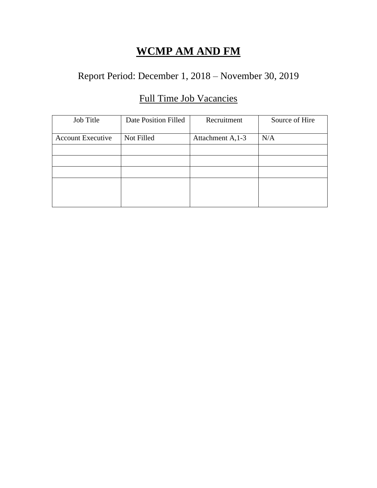## Report Period: December 1, 2018 – November 30, 2019

## Full Time Job Vacancies

| Job Title                | Date Position Filled | Recruitment       | Source of Hire |
|--------------------------|----------------------|-------------------|----------------|
| <b>Account Executive</b> | Not Filled           | Attachment A, 1-3 | N/A            |
|                          |                      |                   |                |
|                          |                      |                   |                |
|                          |                      |                   |                |
|                          |                      |                   |                |
|                          |                      |                   |                |
|                          |                      |                   |                |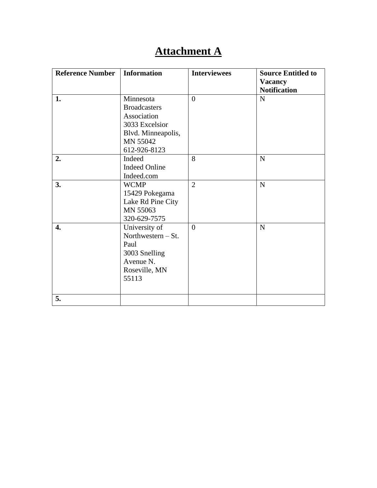# **Attachment A**

| <b>Reference Number</b> | <b>Information</b>                                                                                                  | <b>Interviewees</b> | <b>Source Entitled to</b><br><b>Vacancy</b><br><b>Notification</b> |
|-------------------------|---------------------------------------------------------------------------------------------------------------------|---------------------|--------------------------------------------------------------------|
| 1.                      | Minnesota<br><b>Broadcasters</b><br>Association<br>3033 Excelsior<br>Blvd. Minneapolis,<br>MN 55042<br>612-926-8123 | $\overline{0}$      | ${\bf N}$                                                          |
| 2.                      | Indeed<br><b>Indeed Online</b><br>Indeed.com                                                                        | 8                   | $\mathbf N$                                                        |
| 3.                      | <b>WCMP</b><br>15429 Pokegama<br>Lake Rd Pine City<br>MN 55063<br>320-629-7575                                      | $\overline{2}$      | ${\bf N}$                                                          |
| 4.                      | University of<br>Northwestern $-$ St.<br>Paul<br>3003 Snelling<br>Avenue N.<br>Roseville, MN<br>55113               | $\Omega$            | $\mathbf N$                                                        |
| 5.                      |                                                                                                                     |                     |                                                                    |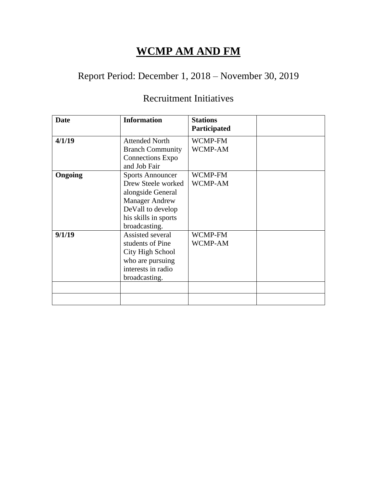## Report Period: December 1, 2018 – November 30, 2019

#### Recruitment Initiatives

| <b>Date</b> | <b>Information</b>                                                                                                                                        | <b>Stations</b><br>Participated |  |
|-------------|-----------------------------------------------------------------------------------------------------------------------------------------------------------|---------------------------------|--|
| 4/1/19      | <b>Attended North</b><br><b>Branch Community</b><br><b>Connections Expo</b><br>and Job Fair                                                               | WCMP-FM<br>WCMP-AM              |  |
| Ongoing     | <b>Sports Announcer</b><br>Drew Steele worked<br>alongside General<br><b>Manager Andrew</b><br>DeVall to develop<br>his skills in sports<br>broadcasting. | WCMP-FM<br>WCMP-AM              |  |
| 9/1/19      | Assisted several<br>students of Pine<br>City High School<br>who are pursuing<br>interests in radio<br>broadcasting.                                       | WCMP-FM<br>WCMP-AM              |  |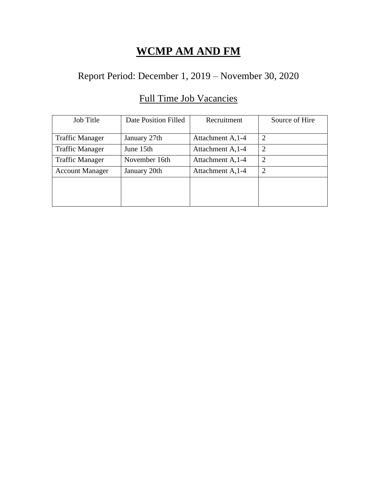#### Report Period: December 1, 2019 – November 30, 2020

# Job Title Date Position Filled Recruitment Source of Hire Traffic Manager January 27th Attachment A, 1-4 2 Traffic Manager  $\vert$  June 15th  $\vert$  Attachment A, 1-4  $\vert$  2 Traffic Manager November 16th Attachment A, 1-4 2 Account Manager January 20th Attachment A, 1-4 2

#### Full Time Job Vacancies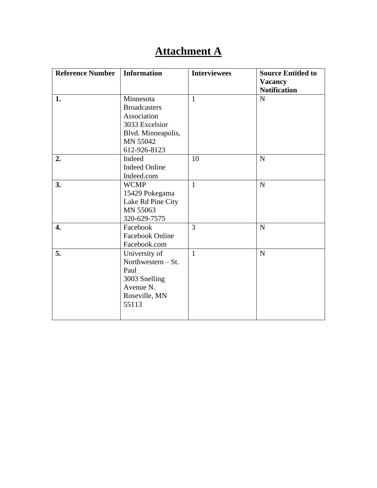# **Attachment A**

| <b>Reference Number</b> | <b>Information</b>                                                                                                  | <b>Interviewees</b> | <b>Source Entitled to</b><br><b>Vacancy</b><br><b>Notification</b> |
|-------------------------|---------------------------------------------------------------------------------------------------------------------|---------------------|--------------------------------------------------------------------|
| 1.                      | Minnesota<br><b>Broadcasters</b><br>Association<br>3033 Excelsior<br>Blvd. Minneapolis,<br>MN 55042<br>612-926-8123 | $\mathbf{1}$        | N                                                                  |
| 2.                      | Indeed<br><b>Indeed Online</b><br>Indeed.com                                                                        | 10                  | $\mathbf N$                                                        |
| 3.                      | <b>WCMP</b><br>15429 Pokegama<br>Lake Rd Pine City<br>MN 55063<br>320-629-7575                                      | $\mathbf{1}$        | N                                                                  |
| $\overline{4}$ .        | Facebook<br><b>Facebook Online</b><br>Facebook.com                                                                  | 3                   | N                                                                  |
| 5.                      | University of<br>Northwestern $-$ St.<br>Paul<br>3003 Snelling<br>Avenue N.<br>Roseville, MN<br>55113               | $\mathbf{1}$        | $\mathbf N$                                                        |